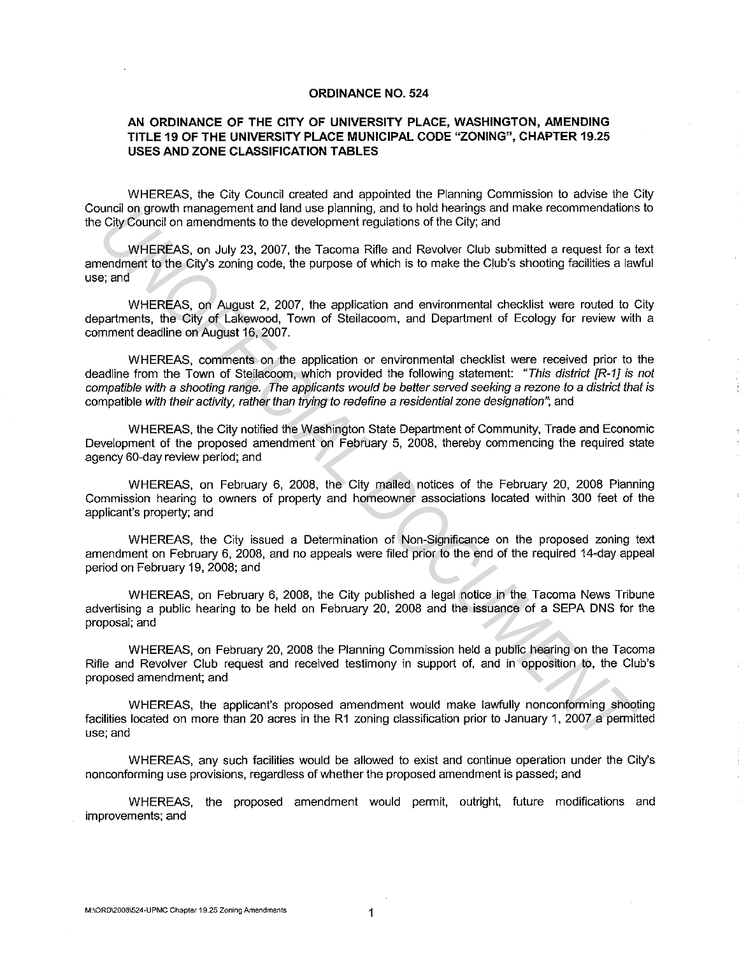#### **ORDINANCE NO. 524**

#### **AN ORDINANCE OF THE CITY OF UNIVERSITY PLACE, WASHINGTON, AMENDING TITLE 19 OF THE UNIVERSITY PLACE MUNICIPAL CODE "ZONING", CHAPTER 19.25 USES AND ZONE CLASSIFICATION TABLES**

WHEREAS, the City Council created and appointed the Planning Commission to advise the City Council on growth management and land use planning, and to hold hearings and make recommendations to the City Council on amendments to the development regulations of the City; and

WHEREAS, on July 23, 2007, the Tacoma Rifte and Revolver Club submitted a request for a text amendment to the City's zoning code, the purpose of which is to make the Club's shooting facilities a lawful use; and

WHEREAS, on August 2, 2007, the application and environmental checklist were routed to City departments, the City of Lakewood, Town of Steilacoom, and Department of Ecology for review with a comment deadline on August 16, 2007.

WHEREAS, comments on the application or environmental checklist were received prior to the deadline from the Town of Steilacoom, which provided the following statement: "This district [R-1] is not compatible with a shooting range. The applicants would be better served seeking a rezone to a district that is compatible with their activity, rather than trying to redefine a residential zone designation"; and unrain on growth management and land use painting, and to hoot nearing and make recommendators City council of members and the City's zoning code, the purpose of which is to make the City's and WHEREAS, on July 23, 2007, t

WHEREAS, the City notified the Washington State Department of Community, Trade and Economic Development of the proposed amendment on February 5, 2008, thereby commencing the required state agency 60-day review period; and

WHEREAS, on February 6, 2008, the City mailed notices of the February 20, 2008 Planning Commission hearing to owners of property and homeowner associations located within 300 feet of the applicant's property; and

WHEREAS, the City issued a Determination of Non-Significance on the proposed zoning text amendment on February 6, 2008, and no appeals were filed prior to the end of the required 14-day appeal period on February 19, 2008; and

WHEREAS, on February 6, 2008, the City published a legal notice in the Tacoma News Tribune advertising a public hearing to be held on February 20, 2008 and the issuance of a SEPA DNS for the proposal; and

WHEREAS, on February 20, 2008 the Planning Commission held a public hearing on the Tacoma Rifte and Revolver Club request and received testimony in support of, and in opposition to, the Club's proposed amendment; and

WHEREAS, the applicant's proposed amendment would make lawfully nonconforming shooting facilities located on more than 20 acres in the R1 zoning classification prior to January 1, 2007 a permitted use; and

WHEREAS, any such facilities would be allowed to exist and continue operation under the City's nonconforming use provisions, regardless of whether the proposed amendment is passed; and

WHEREAS, the proposed amendment would permit, outright, future modifications and improvements; and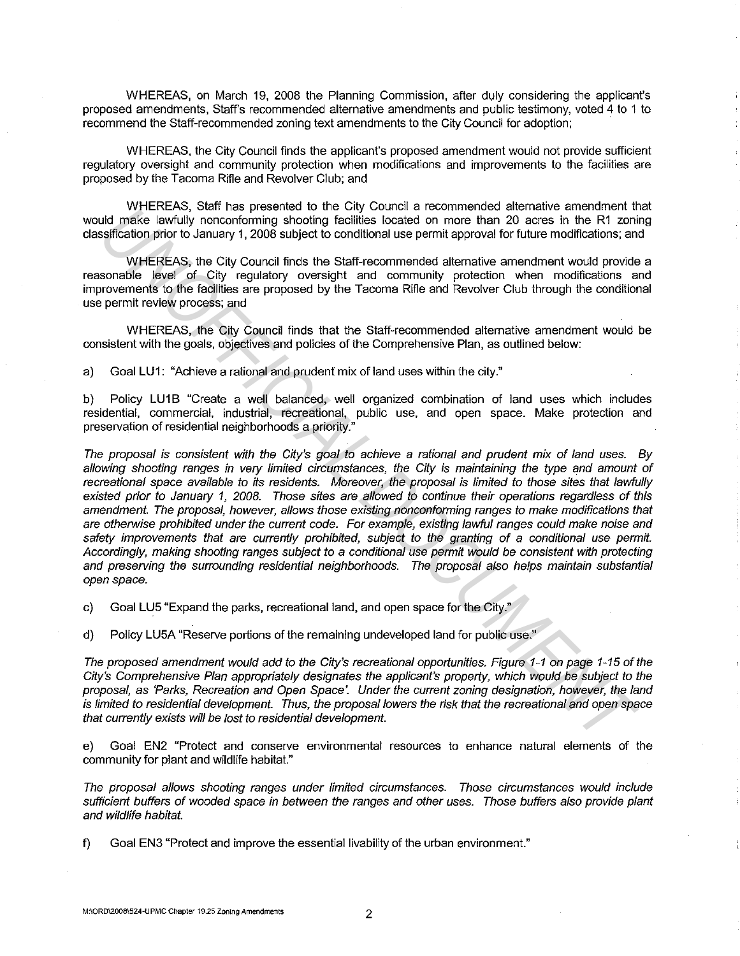WHEREAS, on March 19, 2008 the Planning Commission, after duly considering the applicant's proposed amendments, Staff's recommended alternative amendments and public testimony, voted 4 to 1 to recommend the Staff-recommended zoning text amendments to the City Council for adoption;

WHEREAS, the City Council finds the applicant's proposed amendment would not provide sufficient regulatory oversight and community protection when modifications and improvements to the facilities are proposed by the Tacoma Rifte and Revolver Club; and

WHEREAS, Staff has presented to the City Council a recommended alternative amendment that would make lawfully nonconforming shooting facilities located on more than 20 acres in the R1 zoning classification prior to January 1, 2008 subject to conditional use permit approval for future modifications; and

WHEREAS, the City Council finds the Staff-recommended alternative amendment would provide a reasonable level of City regulatory oversight and community protection when modifications and improvements to the facilities are proposed by the Tacoma Rifie and Revolver Club through the conditional use permit review process; and

WHEREAS, the City Council finds that the Staff-recommended alternative amendment would be consistent with the goals, objectives and policies of the Comprehensive Plan, as outlined below:

a) Goal LU1: "Achieve a rational and prudent mix of land uses within the city."

b) Policy LU1B "Create a well balanced, well organized combination of land uses which includes residential, commercial, industrial, recreational, public use, and open space. Make protection and preservation of residential neighborhoods a priority."

The proposal is consistent with the City's goal to achieve a rational and prudent mix of land uses. By allowing shooting ranges in very limited circumstances, the City is maintaining the type and amount of recreational space available to its residents. Moreover, the proposal is limited to those sites that lawfully existed prior to January 1, 2008. Those sites are allowed to continue their operations regardless of this amendment. The proposal, however, allows those existing nonconforming ranges to make modifications that are otherwise prohibited under the current code. For example, existing lawful ranges could make noise and safety improvements that are currently prohibited, subject to the granting of a conditional use permit. Accordingly, making shooting ranges subject to a conditional use permit would be consistent with protecting and preserving the surrounding residential neighborhoods. The proposal also helps maintain substantial open space. **UNTEREAS, then** is presented on the UN countine and would relate the mail inside the entropy and the system of the entropy and the entropy and the entropy the entropy the entropy the entropy the entropy the entropy the sy

c) Goal LU5 "Expand the parks, recreational land, and open space for the City."

d) Policy LU5A "Reserve portions of the remaining undeveloped land for public use."

The proposed amendment would add to the City's recreational opportunities. Figure 1-1 on page 1-15 of the City's Comprehensive Plan appropriately designates the applicant's property, which would be subject to the proposal, as 'Parks, Recreation and Open Space'. Under the current zoning designation, however, the land is limited to residential development. Thus, the proposal lowers the risk that the recreational and open space that currently exists will be lost to residential development.

e) Goal EN2 "Protect and conserve environmental resources to enhance natural elements of the community for plant and wildlife habitat."

The proposal allows shooting ranges under limited circumstances. Those circumstances would include sufficient buffers of wooded space in between the ranges and other uses. Those buffers also provide plant and wildlife habitat.

f) Goal EN3 "Protect and improve the essential livability of the urban environment."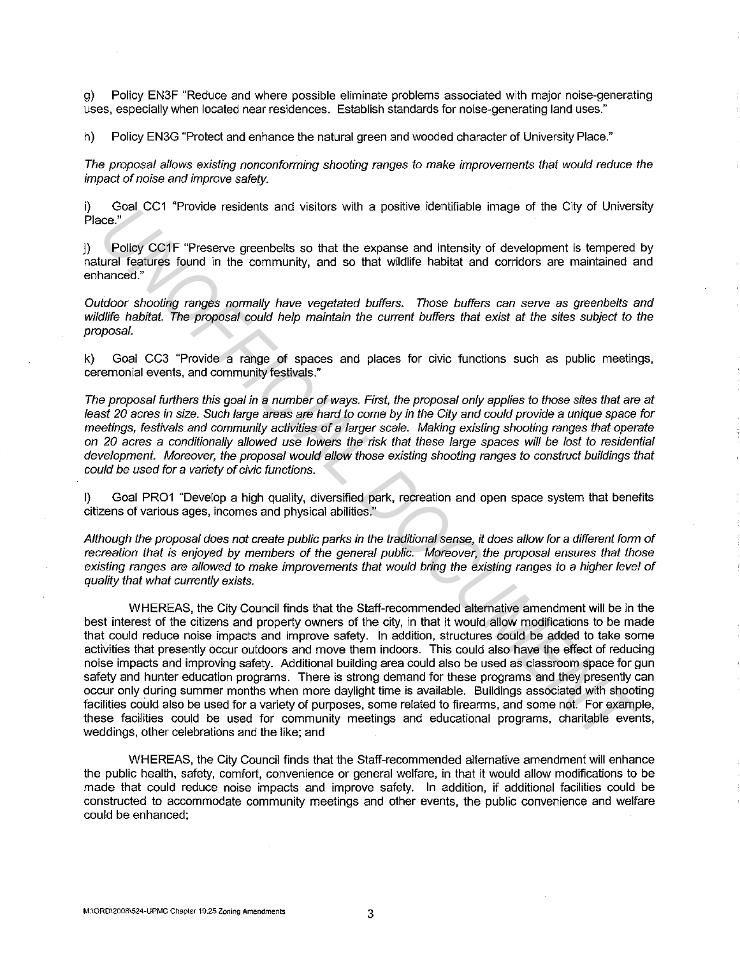g) Policy EN3F "Reduce and where possible eliminate problems associated with major noise-generating uses, especially when located near residences. Establish standards for noise-generating land uses."

h) Policy EN3G "Protect and enhance the natural green and wooded character of University Place."

The proposal allows existing nonconforming shooting ranges to make improvements that would reduce the impact of noise and improve safety.

i) Goal CC1 "Provide residents and visitors with a positive identifiable image of the City of University Place."

j) Policy CC1F "Preserve greenbelts so that the expanse and intensity of development is tempered by natural features found in the community, and so that wildlife habitat and corridors are maintained and enhanced."

Outdoor shooting ranges normally have vegetated buffers. Those buffers can serve as greenbelts and wildlife habitat. The proposal could help maintain the current buffers that exist at the sites subject to the proposal.

k} Goal CC3 "Provide a range of spaces and places for civic functions such as public meetings, ceremonial events, and community festivals."

The proposal furthers this goal in a number of ways. First, the proposal only applies to those sites that are at least 20 acres in size. Such large areas are hard to come by in the City and could provide a unique space for meetings, festivals and community activities of a larger scale. Making existing shooting ranges that operate on 20 acres a conditionally allowed use lowers the risk that these large spaces will be lost to residential development. Moreover, the proposal would allow those existing shooting ranges to construct buildings that could be used for a variety of civic functions.

I) Goal PR01 "Develop a high quality, diversified park, recreation and open space system that benefits citizens of various ages, incomes and physical abilities."

Although the proposal does not create public parks in the traditional sense, it does allow for a different form of recreation that is enjoyed by members of the general public. Moreover, the proposal ensures that those existing ranges are allowed to make improvements that would bring the existing ranges to a higher level of quality that what currently exists.

WHEREAS, the City Council finds that the Staff-recommended alternative amendment will be in the best interest of the citizens and property owners of the city, in that it would allow modifications to be made that could reduce noise impacts and improve safety. In addition, structures could be added to take some activities that presently occur outdoors and move them indoors. This could also have the effect of reducing noise impacts and improving safety. Additional building area could also be used as classroom space for gun safety and hunter education programs. There is strong demand for these programs and they presently can occur only during summer months when more daylight time is available. Buildings associated with shooting facilities could also be used for a variety of purposes, some related to firearms, and some not. For example, these facilities could be used for community meetings and educational programs, charitable events, weddings, other celebrations and the like; and Gad CCT Provide researchs and visitors with a polaive dentifiate image of the City of Otivers<br> **UNIOF CONF** "Preserve greenballs so that the expanse and intensity of development is tempered<br>
Units leading factor showing an

WHEREAS, the City Council finds that the Staff-recommended alternative amendment will enhance the public health, safety, comfort, convenience or general welfare, in that it would allow modifications to be made that could reduce noise impacts and improve safety. In addition, if additional facilities could be constructed to accommodate community meetings and other events, the public convenience and welfare could be enhanced;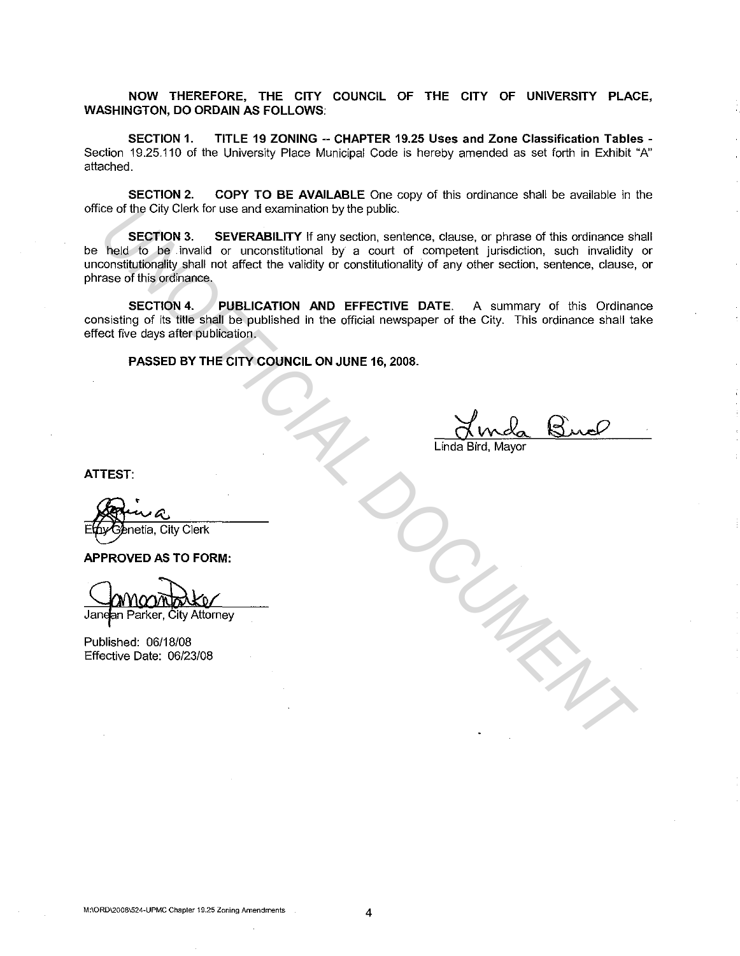NOW THEREFORE, THE CITY COUNCIL OF THE CITY OF UNIVERSITY PLACE, WASHINGTON, DO ORDAIN AS FOLLOWS:

SECTION 1. TITLE 19 ZONING -- CHAPTER 19.25 Uses and Zone Classification Tables - Section 19.25.110 of the University Place Municipal Code is hereby amended as set forth in Exhibit "A" attached.

SECTION 2. COPY TO BE AVAILABLE One copy of this ordinance shall be available in the office of the City Clerk for use and examination by the public.

SECTION 3. SEVERABILITY If any section, sentence, clause, or phrase of this ordinance shall be held to be . invalid or unconstitutional by a court of competent jurisdiction, such invalidity or unconstitutionality shall not affect the validity or constitutionality of any other section, sentence, clause, or phrase of this ordinance. Co of the City Cienc for use and examination by the public.<br> **Next Co Decembent** Device in A substitutional by a count of competent jurisdiction, such invalidaty<br>
The contributional not affect the validity or constitutiona

SECTION 4. PUBLICATION AND EFFECTIVE DATE. A summary of this Ordinance consisting of its title shall be published in the official newspaper of the City. This ordinance shall take effect five days after publication.

PASSED BY THE CITY COUNCIL ON JUNE 16, 2008.

Linda Bird, Mayor

ATTEST:

APPROVED AS TO FORM:

Published: 06/18/08 Effective Date: 06/23/08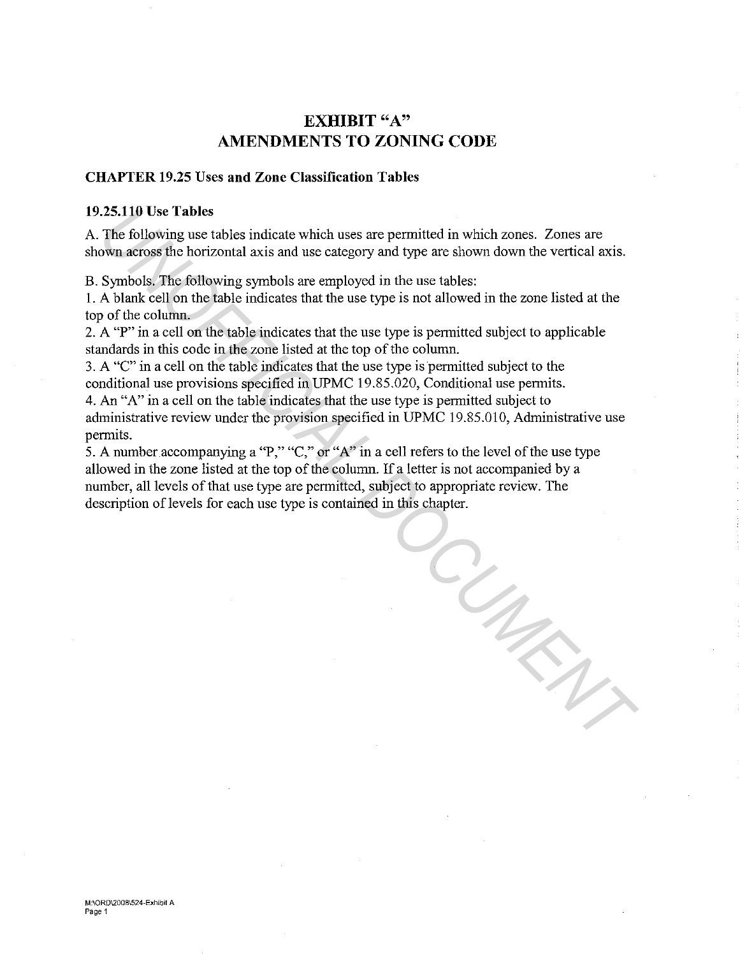## EXHIBIT "A" AMENDMENTS TO ZONING CODE

#### CHAPTER 19.25 Uses and Zone Classification Tables

#### 19.25.110 Use Tables

A. The following use tables indicate which uses are permitted in which zones. Zones are shown across the horizontal axis and use category and type are showu down the vertical axis.

B. Symbols. The following symbols are employed in the use tables:

I. A blank cell on the table indicates that the use type is not allowed in the zone listed at the top of the column.

2. A "P" in a cell on the table indicates that the use type is permitted subject to applicable standards in this code in the zone listed at the top of the column.

3. A "C" in a cell on the table indicates that the use type is permitted subject to the conditional use provisions specified in UPMC 19.85.020, Conditional use permits.

4. An "A" in a cell on the table indicates that the use type is permitted subject to administrative review under the provision specified in UPMC 19.85.010, Administrative use permits.

5. A number accompanying a "P," "C," or "A" in a cell refers to the level of the use type allowed in the zone listed at the top of the column. If a letter is not accompanied by a number, all levels of that use type are permitted, subject to appropriate review. The description of levels for each use type is contained in this chapter. **125.110 Use Tables**<br>**The following use tables** indicate which uses are permitted in which zones. Zones are<br>**The following symbols** are employed in the use tables:<br>Symbols, The following symbols are employed in the use ta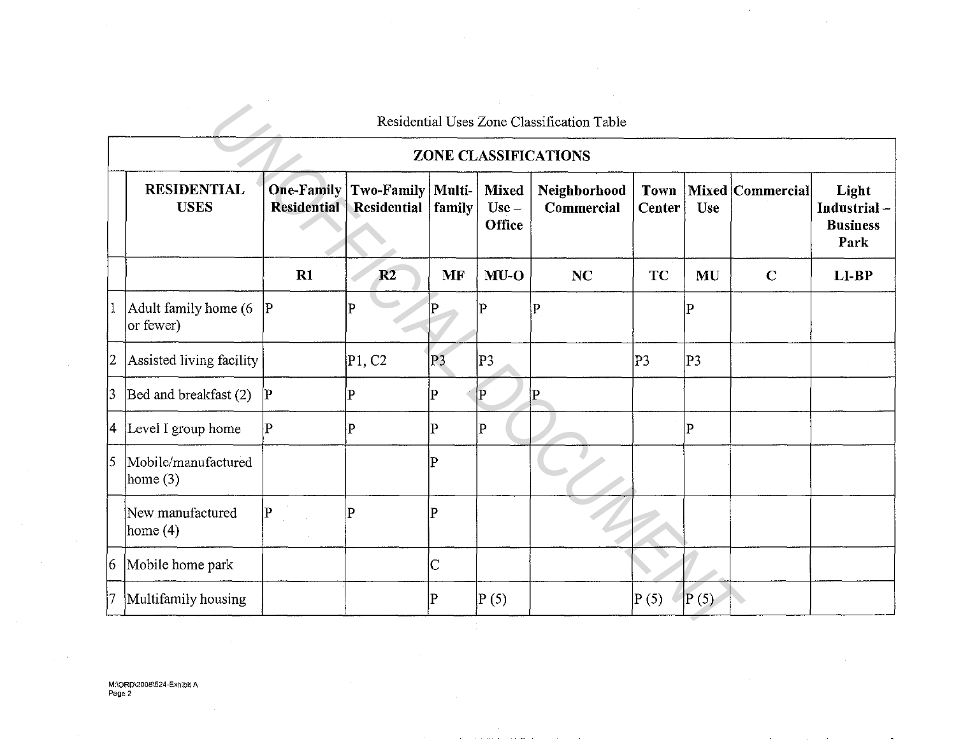|             | <b>RESIDENTIAL</b><br><b>USES</b>  | <b>One-Family</b><br><b>Residential</b> | Two-Family   Multi-<br>Residential | family         | <b>Mixed</b>             | ZONE CLASSIFICATIONS<br>Neighborhood |                              |                |                  |                                                 |
|-------------|------------------------------------|-----------------------------------------|------------------------------------|----------------|--------------------------|--------------------------------------|------------------------------|----------------|------------------|-------------------------------------------------|
|             |                                    |                                         |                                    |                |                          |                                      |                              |                |                  |                                                 |
|             |                                    |                                         |                                    |                | $Use -$<br><b>Office</b> | Commercial                           | <b>Town</b><br><b>Center</b> | Use            | Mixed Commercial | Light<br>Industrial-<br><b>Business</b><br>Park |
|             |                                    | $R1$                                    | R2                                 | MF             | $MU-O$                   | <b>NC</b>                            | TC                           | MU             | $\mathbf C$      | LI-BP                                           |
| $ 1\rangle$ | Adult family home (6)<br>or fewer) | $\mathbf{P}$                            | P                                  |                | $\mathbf{P}$             | $\mathbf{P}$                         |                              | Þ              |                  |                                                 |
| 2           | Assisted living facility           |                                         | P1, C2                             | P <sub>3</sub> | P <sub>3</sub>           |                                      | P3                           | P <sub>3</sub> |                  |                                                 |
| 3           | Bed and breakfast (2)              | $\mathbf{p}$                            | P                                  | P              | IP.                      | P                                    |                              |                |                  |                                                 |
|             | 4 Level I group home               | $\overline{P}$                          | P                                  | $\mathbf P$    | $ {\rm P} $              |                                      |                              | $\overline{P}$ |                  |                                                 |
| 5           | Mobile/manufactured<br>home $(3)$  |                                         |                                    | р              |                          |                                      |                              |                |                  |                                                 |
|             | New manufactured<br>home $(4)$     | $\mathbf{P}$                            | $\overline{P}$                     | P              |                          |                                      |                              |                |                  |                                                 |
| $ 6\rangle$ | Mobile home park                   |                                         |                                    | C              |                          |                                      |                              |                |                  |                                                 |
| 17.         | Multifamily housing                |                                         |                                    | P              | P(5)                     |                                      | P(5)                         | P(5)           |                  |                                                 |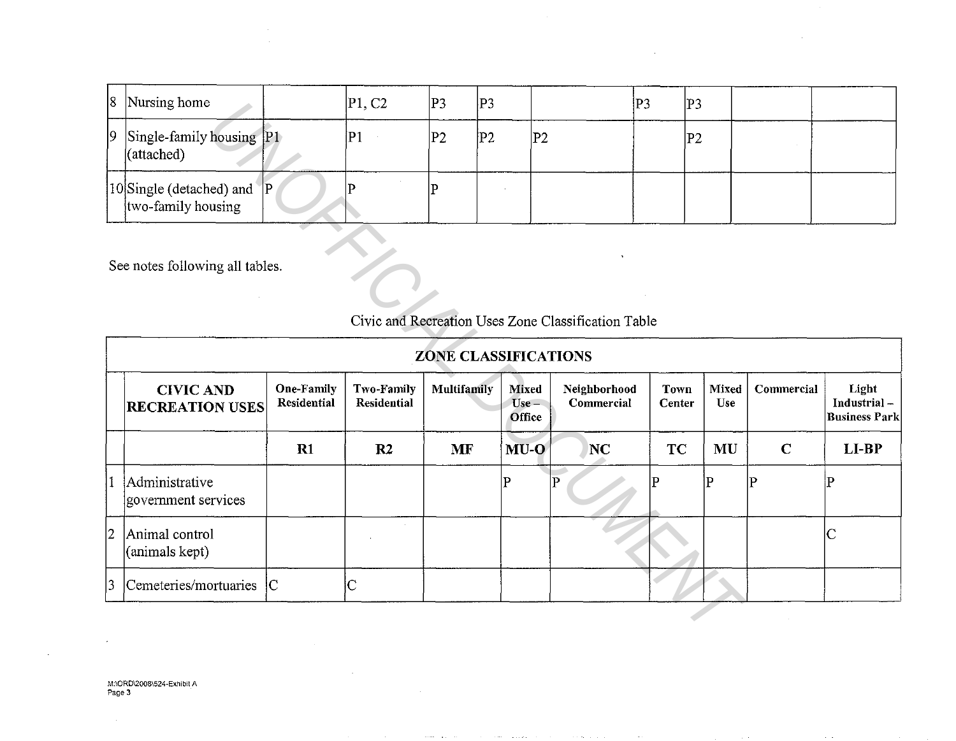| 8 Nursing home                                              | P1, C2 | P <sub>3</sub> | P3 |    | ļΡ3 | P3 |  |
|-------------------------------------------------------------|--------|----------------|----|----|-----|----|--|
| $ 9 $ Single-family housing $ P1\rangle$<br>(attached)      | P1     | P2             | P2 | P2 |     | P2 |  |
| 10 Single (detached) and<br><b>IP</b><br>two-family housing |        |                |    |    |     |    |  |

| ١ŏ             | <i>INursing home</i>                                             |                                  | [PT, CZ                   | P3<br>JP3.                  |                                   | JP3.                                                | P3                    |                     |             |                                              |
|----------------|------------------------------------------------------------------|----------------------------------|---------------------------|-----------------------------|-----------------------------------|-----------------------------------------------------|-----------------------|---------------------|-------------|----------------------------------------------|
| $ 9\rangle$    | $\left  \text{Single-family housing} \right $ [P1)<br>(attached) |                                  | P1                        | P <sub>2</sub>              | P2 <br> P2                        |                                                     | P2                    |                     |             |                                              |
|                | 10Single (detached) and<br>two-family housing                    | P                                | р                         | P                           |                                   |                                                     |                       |                     |             |                                              |
|                | See notes following all tables.                                  |                                  |                           |                             |                                   | Civic and Recreation Uses Zone Classification Table |                       |                     |             |                                              |
|                |                                                                  |                                  |                           | <b>ZONE CLASSIFICATIONS</b> |                                   |                                                     |                       |                     |             |                                              |
|                | <b>CIVIC AND</b><br><b>RECREATION USES</b>                       | <b>One-Family</b><br>Residential | Two-Family<br>Residential | Multifamily                 | <b>Mixed</b><br>$Use -$<br>Office | Neighborhood<br>Commercial                          | <b>Town</b><br>Center | <b>Mixed</b><br>Use | Commercial  | Light<br>Industrial-<br><b>Business Park</b> |
|                |                                                                  | R1                               | R <sub>2</sub>            | <b>MF</b>                   | $MU-O$                            | NC                                                  | <b>TC</b>             | <b>MU</b>           | $\mathbf C$ | LI-BP                                        |
| 11             | Administrative<br>government services                            |                                  |                           |                             | P                                 | P                                                   | P                     | P                   | ΙP          | $\mathbf P$                                  |
| 2              | Animal control<br>(animals kept)                                 |                                  |                           |                             |                                   |                                                     |                       |                     |             | $\mathsf{C}$                                 |
| $\overline{3}$ | Cemeteries/mortuaries                                            | IC.                              | $\mathsf C$               |                             |                                   |                                                     |                       |                     |             |                                              |
|                |                                                                  |                                  |                           |                             |                                   |                                                     |                       |                     |             |                                              |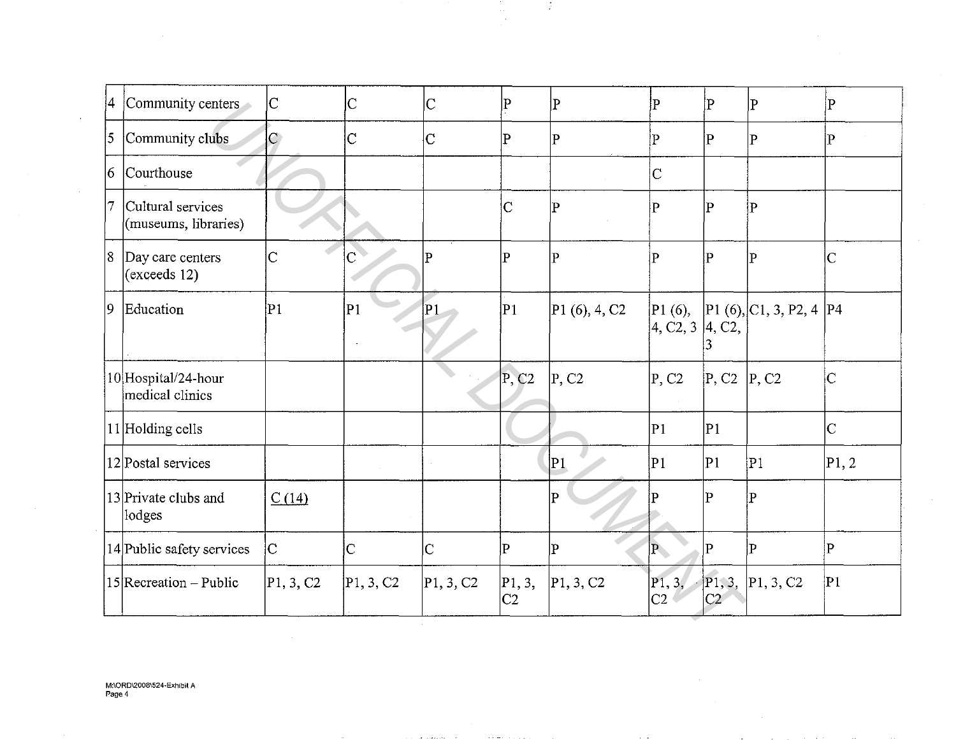| 4                 | Community centers                          | $ {\rm C}$     | IС                    | $\vert \text{\textrm{C}}$ | p                        | $\overline{\mathrm{P}}$ | $\overline{P}$           | $\mathbf P$                           | $\mathbf P$                     | $\overline{P}$        |
|-------------------|--------------------------------------------|----------------|-----------------------|---------------------------|--------------------------|-------------------------|--------------------------|---------------------------------------|---------------------------------|-----------------------|
| $\overline{5}$    | Community clubs                            | $\overline{C}$ | $\overline{C}$        | lС                        | P                        | P                       | $ {\bf p} $              | $\mathbf{P}$                          | $\overline{P}$                  | $ {\bf p} $           |
| $ 6\rangle$       | Courthouse                                 |                |                       |                           |                          | $\sim$                  | $\overline{C}$           |                                       |                                 |                       |
| $\overline{\tau}$ | Cultural services<br>(museums, libraries)  |                |                       |                           | $\overline{C}$           | P                       | P                        | $\overline{P}$                        | $\overline{\mathbf{P}}$         |                       |
|                   | 8 Day care centers<br>$\left($ exceeds 12) | $\overline{C}$ |                       | $\vert \mathrm{P}$        | $\mathbf P$              | $\overline{\text{P}}$   | $\overline{\mathrm{P}}$  | $\mathbf{P}$                          | $\overline{P}$                  | $\overline{C}$        |
| $ 9\rangle$       | Education                                  | P1             | P1                    | P1                        | P1                       | P1(6), 4, C2            | 4, C2, 3 4, C2,          |                                       | P1(6),  P1(6),  C1, 3, P2, 4 P4 |                       |
|                   | 10 Hospital/24-hour<br>medical clinics     |                |                       |                           | P, C2                    | P, C2                   | P, C2                    | $\vert P, C2 \vert \vert P, C2 \vert$ |                                 | $\overline{\text{C}}$ |
|                   | 11 Holding cells                           |                |                       |                           |                          |                         | P <sub>1</sub>           | P1                                    |                                 | $\overline{C}$        |
|                   | 12 Postal services                         |                |                       |                           |                          | P1                      | P1                       | P <sub>1</sub>                        | P1                              | P1, 2                 |
|                   | 13 Private clubs and<br>lodges             | C(14)          |                       |                           |                          | $\overline{P}$          | P                        | $\mathbf{p}$                          | $ {\bf p} $                     |                       |
|                   | 14 Public safety services                  | $\overline{C}$ | $\overline{\text{C}}$ | $ \mathrm{C} $            | lP.                      | $\overline{\mathbf{P}}$ | $\mathbf{P}$             | $ {\bf p} $                           | lР                              | $\mathbf{P}$          |
|                   | $ 15 $ Recreation – Public                 | P1, 3, C2      | P1, 3, C2             | P1, 3, C2                 | P1, 3,<br>C <sub>2</sub> | P1, 3, C2               | P1, 3,<br>C <sub>2</sub> | C2                                    | P1, 3,  P1, 3, C2               | P1                    |
|                   |                                            |                |                       |                           |                          |                         |                          |                                       |                                 |                       |

÷,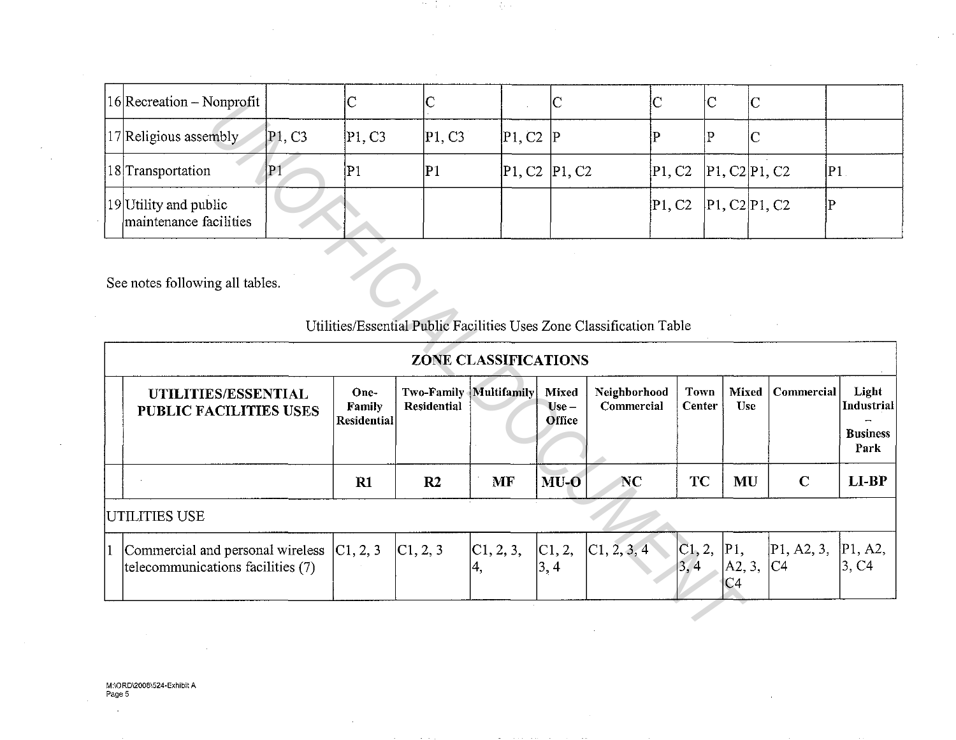| $ 16 $ Recreation – Nonprofit                     |       |             |        |               | IC |                          |  |    |
|---------------------------------------------------|-------|-------------|--------|---------------|----|--------------------------|--|----|
| 17 Religious assembly                             | P1.C3 | P1, C3      | P1, C3 | P1, C2        |    |                          |  |    |
| [18] Transportation                               | P1    | $ {\bf P1}$ |        | P1, C2 P1, C2 |    | P1, C2   P1, C2   P1, C2 |  | P1 |
| [19] Utility and public<br>maintenance facilities |       |             |        |               |    | P1, C2  P1, C2 P1, C2    |  |    |

网络树

 $\sim$   $-$ 

 $\alpha_{\rm eff}$  and  $\alpha_{\rm eff}$ 

|   | $16$  Recreation – Nonprofit                                          |                                 | IC.                                  | U                         |                             | IC                                                              | IC.                                                                  | C                     | IC.                                     |                              |                                                       |
|---|-----------------------------------------------------------------------|---------------------------------|--------------------------------------|---------------------------|-----------------------------|-----------------------------------------------------------------|----------------------------------------------------------------------|-----------------------|-----------------------------------------|------------------------------|-------------------------------------------------------|
|   | 17 Religious assembly                                                 | P <sub>1</sub> , C <sub>3</sub> | P1, C3                               | P1, C3                    | P1, C2                      | $\mathbf{P}$                                                    | P                                                                    | P                     | $\overline{\text{C}}$                   |                              |                                                       |
|   | 18 Transportation                                                     | P1                              | P1                                   | P1                        |                             | P <sub>1</sub> , C <sub>2</sub> P <sub>1</sub> , C <sub>2</sub> | P1, C2                                                               |                       | P1, C2 P1, C2                           |                              | P1                                                    |
|   | 19 Utility and public<br>maintenance facilities                       |                                 |                                      |                           |                             |                                                                 | P1, C2                                                               |                       | P1, C2 P1, C2                           | $\mathbf P$                  |                                                       |
|   | See notes following all tables.                                       |                                 |                                      |                           |                             |                                                                 | Utilities/Essential Public Facilities Uses Zone Classification Table |                       |                                         |                              |                                                       |
|   |                                                                       |                                 |                                      |                           | <b>ZONE CLASSIFICATIONS</b> |                                                                 |                                                                      |                       |                                         |                              |                                                       |
|   | UTILITIES/ESSENTIAL<br><b>PUBLIC FACILITIES USES</b>                  |                                 | One-<br>Family<br><b>Residential</b> | Two-Family<br>Residential | Multifamily                 | Mixed<br>$Use -$<br>Office                                      | Neighborhood<br>Commercial                                           | <b>Town</b><br>Center | Mixed<br><b>Use</b>                     | Commercial                   | Light<br><b>Industrial</b><br><b>Business</b><br>Park |
|   |                                                                       |                                 | R1                                   | R <sub>2</sub>            | <b>MF</b>                   | $MU-O$                                                          | <b>NC</b>                                                            | <b>TC</b>             | <b>MU</b>                               | $\mathbf C$                  | LI-BP                                                 |
|   | UTILITIES USE                                                         |                                 |                                      |                           |                             |                                                                 |                                                                      |                       |                                         |                              |                                                       |
| 1 | Commercial and personal wireless<br>telecommunications facilities (7) |                                 | C1, 2, 3                             | C1, 2, 3                  | C1, 2, 3,<br>4,             | C1, 2,<br>$\left 3,4\right\rangle$                              | C1, 2, 3, 4                                                          | C1, 2,<br>3,4         | P1,<br>$\vert$ A2, 3,<br>C <sub>4</sub> | P1, A2, 3,<br>C <sub>4</sub> | P1, A2,<br>3, C4                                      |
|   |                                                                       |                                 |                                      |                           |                             |                                                                 |                                                                      |                       |                                         |                              |                                                       |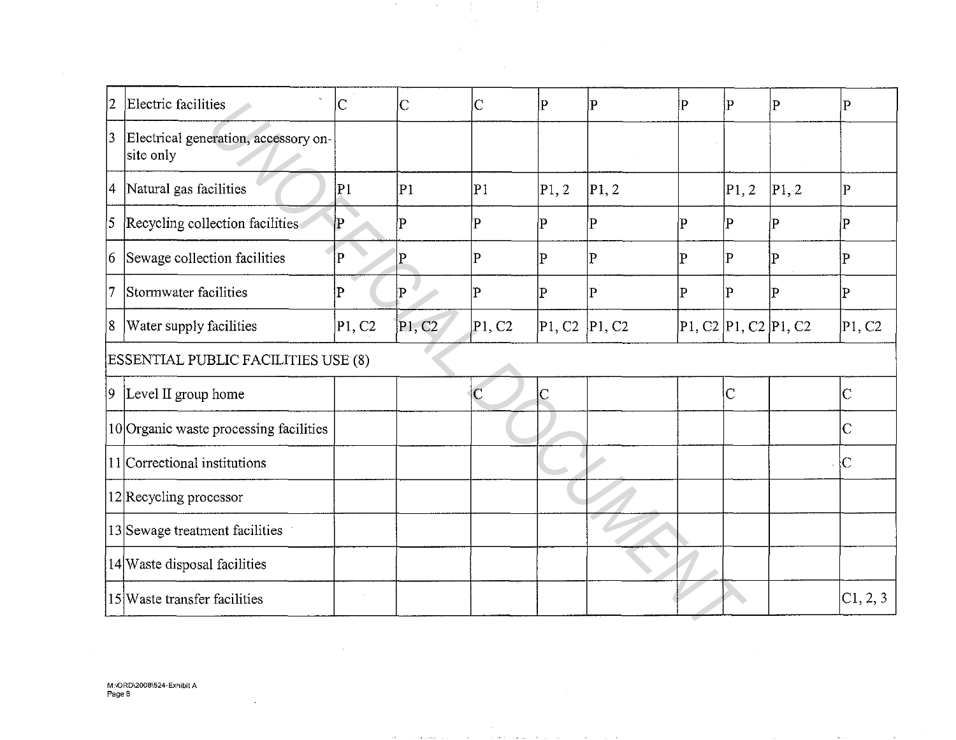| 2           | $\sim$<br>Electric facilities                     | $\vert\rm C$ | $\overline{C}$ | $\overline{C}$ | P                                                                | P               | P  | P                    | P              | P                        |
|-------------|---------------------------------------------------|--------------|----------------|----------------|------------------------------------------------------------------|-----------------|----|----------------------|----------------|--------------------------|
| $ 3\rangle$ | Electrical generation, accessory on-<br>site only |              |                |                |                                                                  |                 |    |                      |                |                          |
| 4           | Natural gas facilities                            | P1           | P <sub>1</sub> | P1             | P1, 2                                                            | P1, 2           |    | P1, 2                | P1,2           | $\overline{P}$           |
| 5           | Recycling collection facilities                   | P            | P              | P              | P                                                                | $\vert P \vert$ | ∤P | Έ                    | P              | P                        |
| 16          | Sewage collection facilities                      | P            | Þ              | P              | P                                                                | P               | ΙP | P                    | P              | P                        |
| 17          | Stormwater facilities                             | ΙP           | P              | P              | P                                                                | $\mathbf P$     | ļΡ | P                    | $\overline{P}$ | $\vert \mathrm{P} \vert$ |
| 8           | Water supply facilities                           | P1, C2       | P1, C2         | P1, C2         | P <sub>1</sub> , C <sub>2</sub>  P <sub>1</sub> , C <sub>2</sub> |                 |    | P1, C2 P1, C2 P1, C2 |                | P1, C2                   |
|             | ESSENTIAL PUBLIC FACILITIES USE (8)               |              |                |                |                                                                  |                 |    |                      |                |                          |
| 19          | Level II group home                               |              |                |                | $\mathsf C$                                                      |                 |    | $\overline{C}$       |                | $\overline{C}$           |
|             | 10 Organic waste processing facilities            |              |                |                |                                                                  |                 |    |                      |                | $\overline{C}$           |
|             | 11 Correctional institutions                      |              |                |                |                                                                  |                 |    |                      |                | ¦С                       |
|             | $12$ Recycling processor                          |              |                |                |                                                                  |                 |    |                      |                |                          |
|             | 13 Sewage treatment facilities                    |              |                |                |                                                                  |                 |    |                      |                |                          |
|             | 14 Waste disposal facilities                      |              |                |                |                                                                  |                 |    |                      |                |                          |
|             | 15 Waste transfer facilities                      | $\sim$       |                |                |                                                                  |                 |    |                      |                | C1, 2, 3                 |
|             |                                                   |              |                |                |                                                                  |                 |    |                      |                |                          |

÷.

4

 $\sim 10^7$ 

 $\mathcal{L}_{\mathcal{A}}$ 

 $\overline{\phantom{a}}$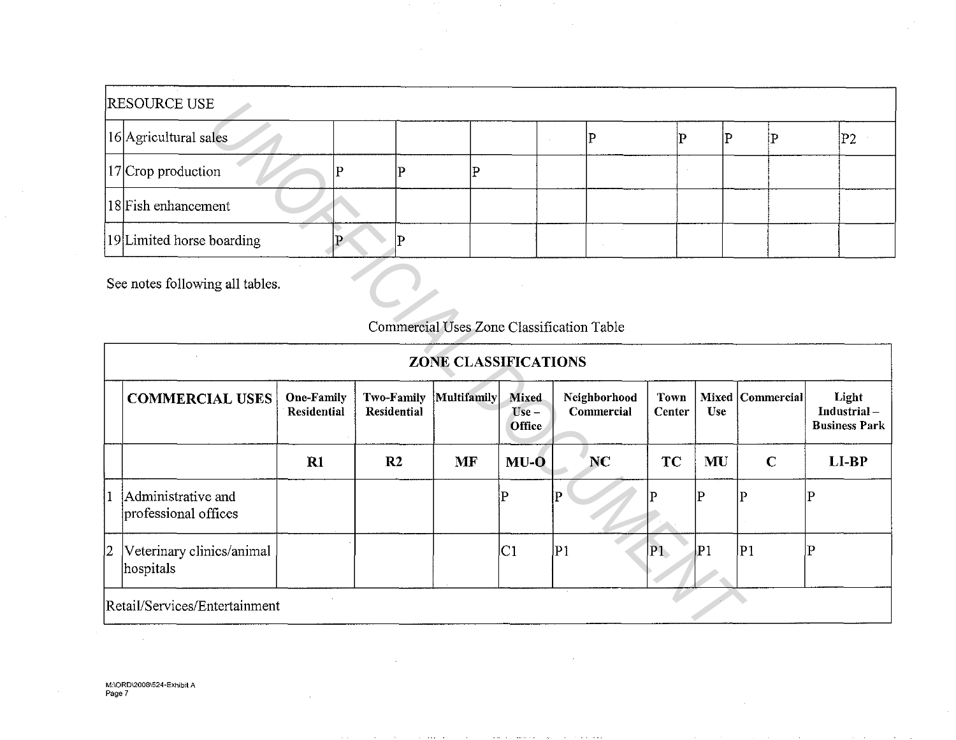| <b>RESOURCE USE</b>       |  |  |  |  |     |
|---------------------------|--|--|--|--|-----|
| 16 Agricultural sales     |  |  |  |  | IP2 |
| $ 17 $ Crop production    |  |  |  |  |     |
| 18 Fish enhancement       |  |  |  |  |     |
| 19 Limited horse boarding |  |  |  |  |     |

See notes following all tables.

# COMMERCIAL USES 1 Administrative and professional offices 2 Veterinary clinics/animal hospitals Retail/Services/Entertainment One-Family Residential **Rl**  ZONE CLASSIFICATIONS Two-Family Multifamily Mixed Neighborhood<br>Residential Use Commercial Commercial **Office**  $R2$  | MF | MU-O | NC p p  $|C_1|$  |P<sub>1</sub> **Town Mixed Commercial Light Center Use 100 Industrial**  $Industrial -$ Business Park  $TC$   $MU$   $C$   $LLP$  $\mathbf{p}$  |  $\mathbf{p}$  |  $\mathbf{p}$  |  $\mathbf{p}$ Pl Pl Pl p E<br> **ON SERVICE CONSTRUCTION**<br> **UNOFFICIAL USES**<br> **UNOFFICIAL DOCUMENTAL DOCUMENTAL DOCUMENTAL DESCRIPED AND SERVICATIONS<br>
<b>UNIOFFICIAL DOCUMENTAL PROPERTION**<br> **EXERCLA DOCUMENTAL PROPERTY CONSTRUCTIONS**<br> **EXERCLA DESCRIPED**

## Commercial Uses Zone Classification Table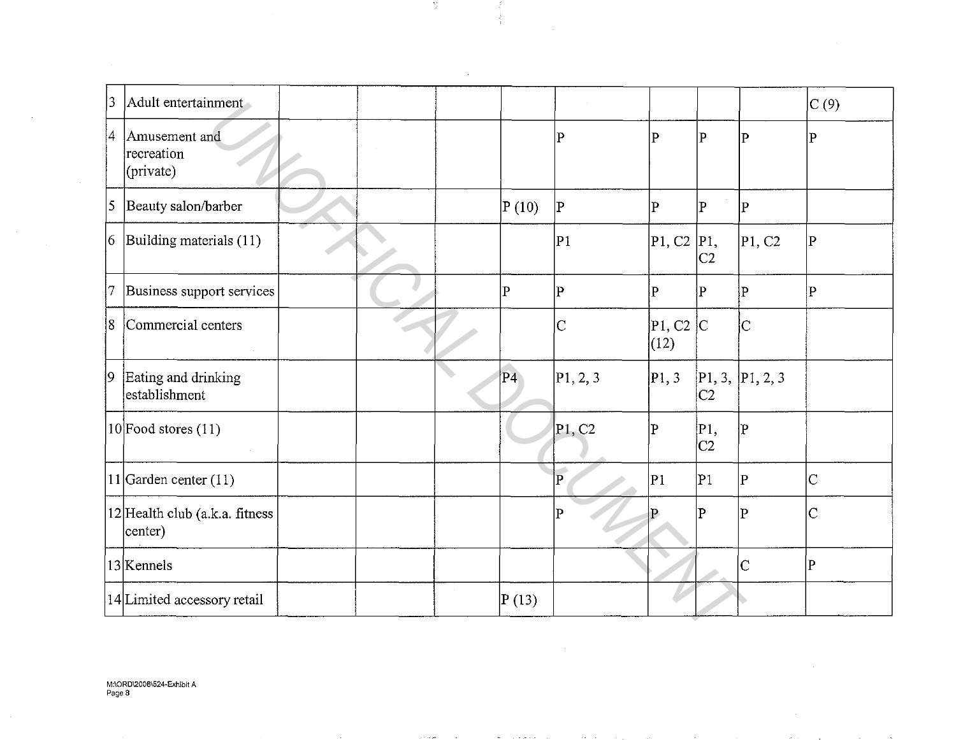| 3               | Adult entertainment                         |  |                |                    |                        |                          |                    | C(9)                    |
|-----------------|---------------------------------------------|--|----------------|--------------------|------------------------|--------------------------|--------------------|-------------------------|
| $ 4\rangle$     | Amusement and<br>recreation<br>(private)    |  |                | Þ                  | P                      | $\vert \mathrm{p} \vert$ | $\overline{P}$     | $\vert \mathrm{P}$      |
| $\vert 5 \vert$ | Beauty salon/barber                         |  | P(10)          | $\vert \mathrm{P}$ | P                      | $\bf P$                  | $\mathbf{P}$       |                         |
|                 | $ 6 $ Building materials (11)               |  |                | P1                 | $\vert$ P1, C2 $\vert$ | $P1$ ,<br>C2             | P1, C2             | $\overline{\mathbf{P}}$ |
| 7               | Business support services                   |  | $\overline{P}$ | $\mathbf P$        | $\mathbf{P}$           | $\mathbf P$              | $\vert_{\text{P}}$ | P                       |
| 18              | Commercial centers                          |  |                | $\overline{\rm C}$ | P1, C2  C<br>(12)      |                          | $\overline{C}$     |                         |
| $ 9\rangle$     | Eating and drinking<br>establishment        |  | P4             | P1, 2, 3           | P1, 3                  | C2                       | [P1, 3, P1, 2, 3]  |                         |
|                 | $ 10 $ Food stores $(11)$                   |  |                | P1, C2             | P                      | P1,<br> C2               | lР                 |                         |
|                 | 11 Garden center $(11)$                     |  |                | $\overline{P}$     | P <sub>1</sub>         | P1                       | $\mathbf P$        | $\overline{\rm C}$      |
|                 | $12$ Health club (a.k.a. fitness<br>center) |  |                | $\overline{P}$     |                        | $ {\rm P} $              | $\overline{P}$     | $\overline{C}$          |
|                 | 13 Kennels                                  |  |                |                    |                        |                          | $\overline{C}$     | $\overline{\mathbf{P}}$ |
|                 | 14 Limited accessory retail                 |  | P(13)          |                    |                        |                          |                    |                         |
|                 |                                             |  |                |                    |                        |                          |                    |                         |

-3

÷  $\frac{1}{2}$ 

 $\sim$   $\omega$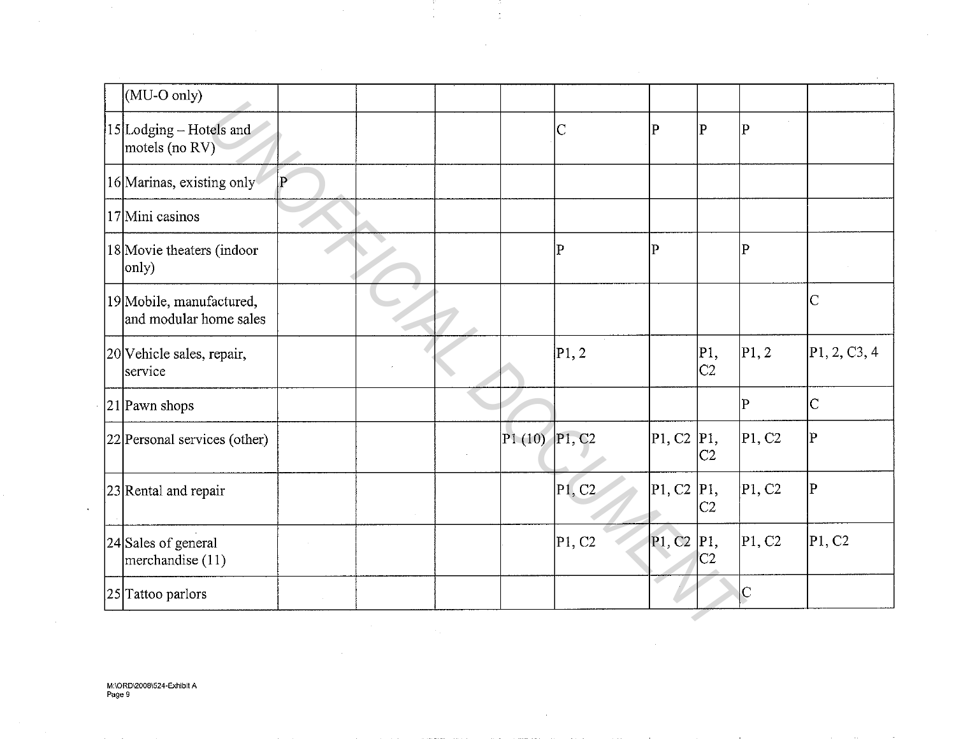| (MU-O only)                                        |             |  |                   |                |              |             |                 |                |
|----------------------------------------------------|-------------|--|-------------------|----------------|--------------|-------------|-----------------|----------------|
| 15 Lodging – Hotels and<br>motels (no RV)          |             |  |                   | $\overline{C}$ | $\mathbf P$  | $ {\bf P} $ | $\bf P$         |                |
| 16 Marinas, existing only                          | $ {\bf P} $ |  |                   |                |              |             |                 |                |
| 17 Mini casinos                                    |             |  |                   |                |              |             |                 |                |
| 18 Movie theaters (indoor<br>only)                 |             |  |                   | $\mathbf P$    | $\mathbf P$  |             | $\vert P \vert$ |                |
| 19 Mobile, manufactured,<br>and modular home sales |             |  |                   |                |              |             |                 | $\mathsf{C}$   |
| 20 Vehicle sales, repair,<br>service               |             |  |                   | P1, 2          |              | P1,<br> C2  | P1, 2           | P1, 2, C3, 4   |
| 21 Pawn shops                                      |             |  |                   |                |              |             | $\bf P$         | $\mathbf C$    |
| 22 Personal services (other)                       |             |  | $P1(10)$ $P1, C2$ |                | P1, C2 P1,   | lC2         | P1, C2          | ΙP             |
| 23 Rental and repair                               |             |  |                   | P1, C2         | P1, C2 P1,   | C2          | P1, C2          | $\overline{P}$ |
| 24 Sales of general<br>merchandise (11)            |             |  |                   | P1, C2         | P1, C2   P1, | IC2         | P1, C2          | P1, C2         |
| 25 Tattoo parlors                                  |             |  |                   |                |              |             | $\vert$ C       |                |

 $\frac{1}{2}$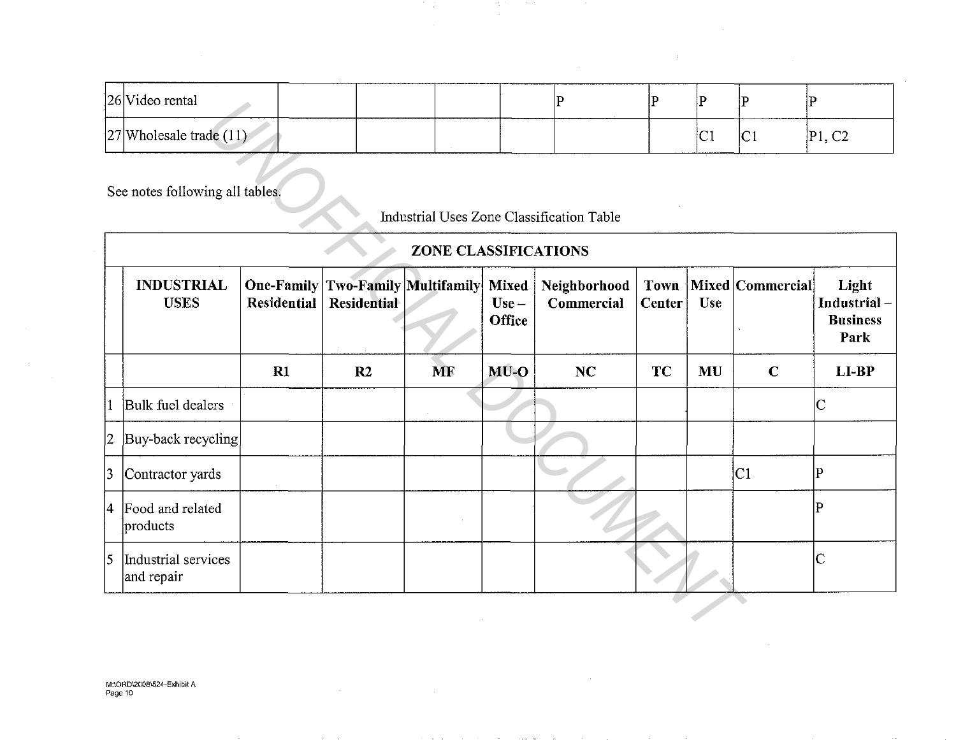| 26 Video rental           |                                                                                                                 |  |  |    |   | _________________ |
|---------------------------|-----------------------------------------------------------------------------------------------------------------|--|--|----|---|-------------------|
| 27 Wholesale trade $(11)$ | the contract of the contract of the contract of the contract of the contract of the contract of the contract of |  |  | 'V | C | C2<br>IP 1.       |

 $\overline{\phantom{a}}$ 

 $\sim$ 

 $\sim 10$ 

 $\bar{z}$ 

|   | 20  v ideo fental                 |                                  |             |                        |                                          | Ľ                                         | I۲                    | ١F         | IF.              | ١F.                                             |
|---|-----------------------------------|----------------------------------|-------------|------------------------|------------------------------------------|-------------------------------------------|-----------------------|------------|------------------|-------------------------------------------------|
|   | $ 27 $ Wholesale trade $(11)$     |                                  |             |                        |                                          |                                           |                       | İСI        | C1               | P1, C2                                          |
|   | See notes following all tables.   |                                  |             | ZONE CLASSIFICATIONS   |                                          | Industrial Uses Zone Classification Table |                       |            |                  |                                                 |
|   | <b>INDUSTRIAL</b><br><b>USES</b>  | <b>One-Family</b><br>Residential | Residential | Two-Family Multifamily | <b>Mixed</b><br>$Use -$<br><b>Office</b> | Neighborhood<br>Commercial                | Town<br><b>Center</b> | <b>Use</b> | Mixed Commercial | Light<br>Industrial-<br><b>Business</b><br>Park |
|   |                                   | R1                               | R2          | <b>MF</b>              | $MU-O$                                   | NC                                        | <b>TC</b>             | MU         | $\mathbf C$      | $LI-BP$                                         |
|   | Bulk fuel dealers                 |                                  |             |                        |                                          |                                           |                       |            |                  | $\mathsf{C}$                                    |
| 2 | Buy-back recycling                |                                  |             |                        |                                          |                                           |                       |            |                  |                                                 |
| 3 | Contractor yards                  |                                  |             |                        |                                          |                                           |                       |            | C1               | $\overline{\mathrm{P}}$                         |
| 4 | Food and related<br>products      |                                  |             |                        |                                          |                                           |                       |            |                  | $\overline{P}$                                  |
| 5 | Industrial services<br>and repair |                                  |             |                        |                                          |                                           |                       |            |                  | $\overline{C}$                                  |
|   |                                   |                                  |             |                        |                                          |                                           |                       |            |                  |                                                 |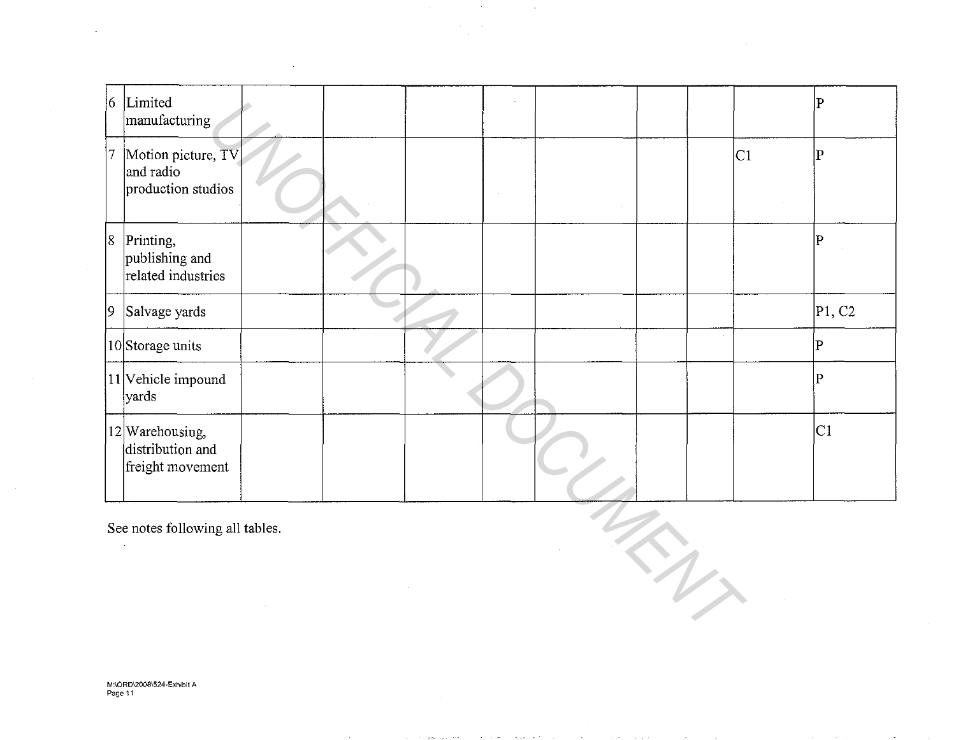|                                 | 6 Limited<br>manufacturing                              |  |  |  |  |  |                     |  |    | P              |
|---------------------------------|---------------------------------------------------------|--|--|--|--|--|---------------------|--|----|----------------|
| 17                              | Motion picture, TV<br>and radio<br>production studios   |  |  |  |  |  |                     |  | C1 | P              |
| 8                               | Printing,<br>publishing and<br>related industries       |  |  |  |  |  |                     |  |    | P              |
| $ 9\rangle$                     | Salvage yards                                           |  |  |  |  |  |                     |  |    | P1, C2         |
|                                 | 10Storage units                                         |  |  |  |  |  |                     |  |    | $\overline{P}$ |
|                                 | $ 11 $ Vehicle impound<br>yards                         |  |  |  |  |  |                     |  |    | $\mathbf P$    |
|                                 | 12 Warehousing,<br>distribution and<br>freight movement |  |  |  |  |  |                     |  |    | C1             |
| See notes following all tables. |                                                         |  |  |  |  |  |                     |  |    |                |
|                                 |                                                         |  |  |  |  |  | $\boldsymbol{\eta}$ |  |    |                |

 $\sim 100$ 

 $\sim 10^7$ 

 $\sim$